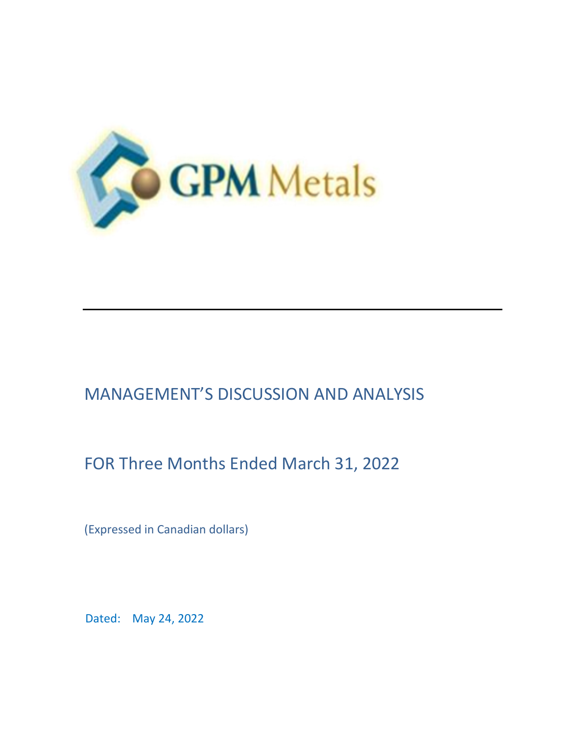

# MANAGEMENT'S DISCUSSION AND ANALYSIS

# FOR Three Months Ended March 31, 2022

(Expressed in Canadian dollars)

Dated: May 24, 2022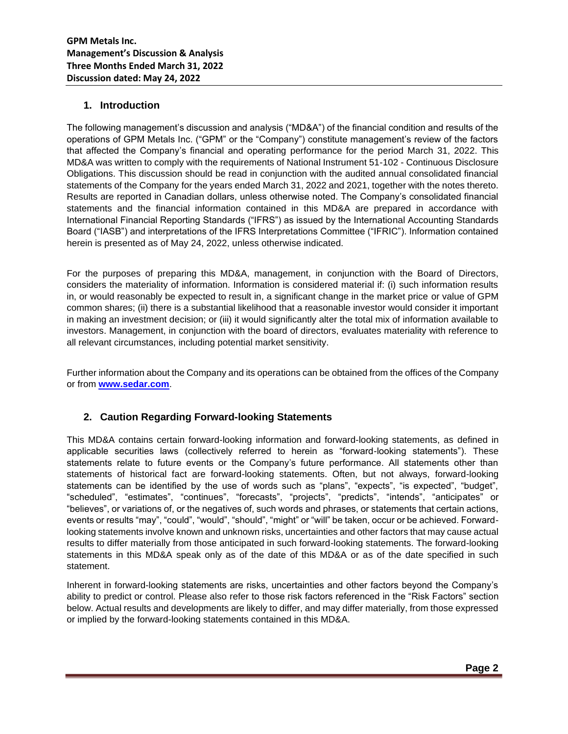## **1. Introduction**

The following management's discussion and analysis ("MD&A") of the financial condition and results of the operations of GPM Metals Inc. ("GPM" or the "Company") constitute management's review of the factors that affected the Company's financial and operating performance for the period March 31, 2022. This MD&A was written to comply with the requirements of National Instrument 51-102 - Continuous Disclosure Obligations. This discussion should be read in conjunction with the audited annual consolidated financial statements of the Company for the years ended March 31, 2022 and 2021, together with the notes thereto. Results are reported in Canadian dollars, unless otherwise noted. The Company's consolidated financial statements and the financial information contained in this MD&A are prepared in accordance with International Financial Reporting Standards ("IFRS") as issued by the International Accounting Standards Board ("IASB") and interpretations of the IFRS Interpretations Committee ("IFRIC"). Information contained herein is presented as of May 24, 2022, unless otherwise indicated.

For the purposes of preparing this MD&A, management, in conjunction with the Board of Directors, considers the materiality of information. Information is considered material if: (i) such information results in, or would reasonably be expected to result in, a significant change in the market price or value of GPM common shares; (ii) there is a substantial likelihood that a reasonable investor would consider it important in making an investment decision; or (iii) it would significantly alter the total mix of information available to investors. Management, in conjunction with the board of directors, evaluates materiality with reference to all relevant circumstances, including potential market sensitivity.

Further information about the Company and its operations can be obtained from the offices of the Company or from **[www.sedar.com](http://www.sedar.com/)**[.](http://www.sedar.com/)

## **2. Caution Regarding Forward-looking Statements**

This MD&A contains certain forward-looking information and forward-looking statements, as defined in applicable securities laws (collectively referred to herein as "forward-looking statements"). These statements relate to future events or the Company's future performance. All statements other than statements of historical fact are forward-looking statements. Often, but not always, forward-looking statements can be identified by the use of words such as "plans", "expects", "is expected", "budget", "scheduled", "estimates", "continues", "forecasts", "projects", "predicts", "intends", "anticipates" or "believes", or variations of, or the negatives of, such words and phrases, or statements that certain actions, events or results "may", "could", "would", "should", "might" or "will" be taken, occur or be achieved. Forwardlooking statements involve known and unknown risks, uncertainties and other factors that may cause actual results to differ materially from those anticipated in such forward-looking statements. The forward-looking statements in this MD&A speak only as of the date of this MD&A or as of the date specified in such statement.

Inherent in forward-looking statements are risks, uncertainties and other factors beyond the Company's ability to predict or control. Please also refer to those risk factors referenced in the "Risk Factors" section below. Actual results and developments are likely to differ, and may differ materially, from those expressed or implied by the forward-looking statements contained in this MD&A.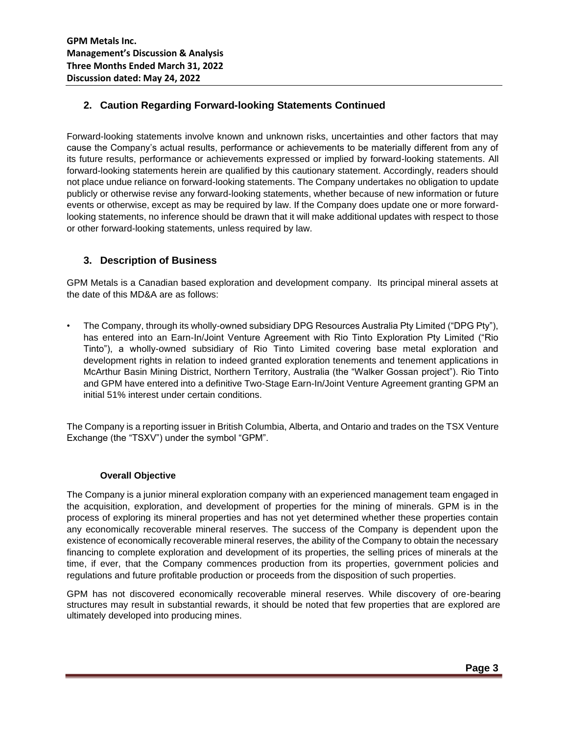## **2. Caution Regarding Forward-looking Statements Continued**

Forward-looking statements involve known and unknown risks, uncertainties and other factors that may cause the Company's actual results, performance or achievements to be materially different from any of its future results, performance or achievements expressed or implied by forward-looking statements. All forward-looking statements herein are qualified by this cautionary statement. Accordingly, readers should not place undue reliance on forward-looking statements. The Company undertakes no obligation to update publicly or otherwise revise any forward-looking statements, whether because of new information or future events or otherwise, except as may be required by law. If the Company does update one or more forwardlooking statements, no inference should be drawn that it will make additional updates with respect to those or other forward-looking statements, unless required by law.

## **3. Description of Business**

GPM Metals is a Canadian based exploration and development company. Its principal mineral assets at the date of this MD&A are as follows:

• The Company, through its wholly-owned subsidiary DPG Resources Australia Pty Limited ("DPG Pty"), has entered into an Earn-In/Joint Venture Agreement with Rio Tinto Exploration Pty Limited ("Rio Tinto"), a wholly-owned subsidiary of Rio Tinto Limited covering base metal exploration and development rights in relation to indeed granted exploration tenements and tenement applications in McArthur Basin Mining District, Northern Territory, Australia (the "Walker Gossan project"). Rio Tinto and GPM have entered into a definitive Two-Stage Earn-In/Joint Venture Agreement granting GPM an initial 51% interest under certain conditions.

The Company is a reporting issuer in British Columbia, Alberta, and Ontario and trades on the TSX Venture Exchange (the "TSXV") under the symbol "GPM".

#### **Overall Objective**

The Company is a junior mineral exploration company with an experienced management team engaged in the acquisition, exploration, and development of properties for the mining of minerals. GPM is in the process of exploring its mineral properties and has not yet determined whether these properties contain any economically recoverable mineral reserves. The success of the Company is dependent upon the existence of economically recoverable mineral reserves, the ability of the Company to obtain the necessary financing to complete exploration and development of its properties, the selling prices of minerals at the time, if ever, that the Company commences production from its properties, government policies and regulations and future profitable production or proceeds from the disposition of such properties.

GPM has not discovered economically recoverable mineral reserves. While discovery of ore-bearing structures may result in substantial rewards, it should be noted that few properties that are explored are ultimately developed into producing mines.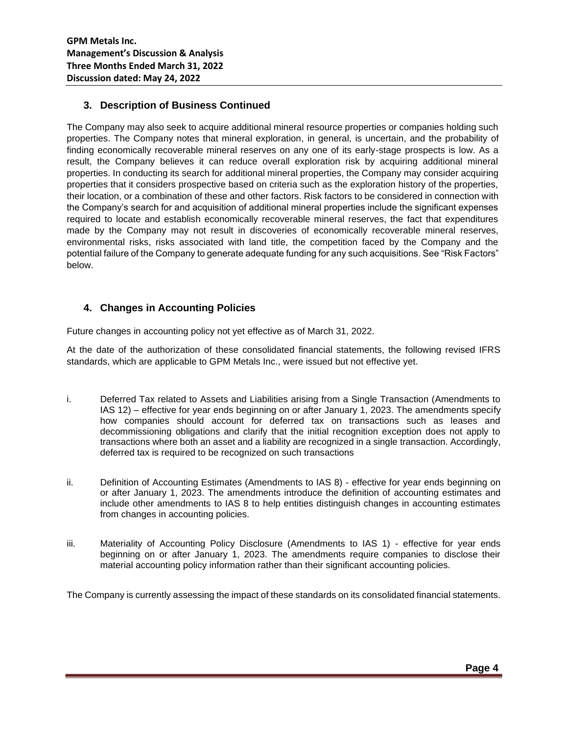## **3. Description of Business Continued**

The Company may also seek to acquire additional mineral resource properties or companies holding such properties. The Company notes that mineral exploration, in general, is uncertain, and the probability of finding economically recoverable mineral reserves on any one of its early-stage prospects is low. As a result, the Company believes it can reduce overall exploration risk by acquiring additional mineral properties. In conducting its search for additional mineral properties, the Company may consider acquiring properties that it considers prospective based on criteria such as the exploration history of the properties, their location, or a combination of these and other factors. Risk factors to be considered in connection with the Company's search for and acquisition of additional mineral properties include the significant expenses required to locate and establish economically recoverable mineral reserves, the fact that expenditures made by the Company may not result in discoveries of economically recoverable mineral reserves, environmental risks, risks associated with land title, the competition faced by the Company and the potential failure of the Company to generate adequate funding for any such acquisitions. See "Risk Factors" below.

## **4. Changes in Accounting Policies**

Future changes in accounting policy not yet effective as of March 31, 2022.

At the date of the authorization of these consolidated financial statements, the following revised IFRS standards, which are applicable to GPM Metals Inc., were issued but not effective yet.

- i. Deferred Tax related to Assets and Liabilities arising from a Single Transaction (Amendments to IAS 12) – effective for year ends beginning on or after January 1, 2023. The amendments specify how companies should account for deferred tax on transactions such as leases and decommissioning obligations and clarify that the initial recognition exception does not apply to transactions where both an asset and a liability are recognized in a single transaction. Accordingly, deferred tax is required to be recognized on such transactions
- ii. Definition of Accounting Estimates (Amendments to IAS 8) effective for year ends beginning on or after January 1, 2023. The amendments introduce the definition of accounting estimates and include other amendments to IAS 8 to help entities distinguish changes in accounting estimates from changes in accounting policies.
- iii. Materiality of Accounting Policy Disclosure (Amendments to IAS 1) effective for year ends beginning on or after January 1, 2023. The amendments require companies to disclose their material accounting policy information rather than their significant accounting policies.

The Company is currently assessing the impact of these standards on its consolidated financial statements.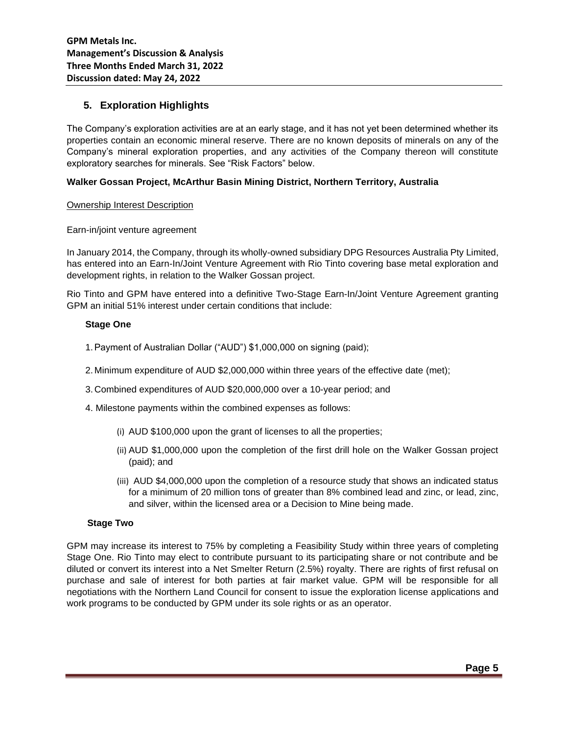## **5. Exploration Highlights**

The Company's exploration activities are at an early stage, and it has not yet been determined whether its properties contain an economic mineral reserve. There are no known deposits of minerals on any of the Company's mineral exploration properties, and any activities of the Company thereon will constitute exploratory searches for minerals. See "Risk Factors" below.

#### **Walker Gossan Project, McArthur Basin Mining District, Northern Territory, Australia**

#### Ownership Interest Description

#### Earn-in/joint venture agreement

In January 2014, the Company, through its wholly-owned subsidiary DPG Resources Australia Pty Limited, has entered into an Earn-In/Joint Venture Agreement with Rio Tinto covering base metal exploration and development rights, in relation to the Walker Gossan project.

Rio Tinto and GPM have entered into a definitive Two-Stage Earn-In/Joint Venture Agreement granting GPM an initial 51% interest under certain conditions that include:

#### **Stage One**

- 1.Payment of Australian Dollar ("AUD") \$1,000,000 on signing (paid);
- 2. Minimum expenditure of AUD \$2,000,000 within three years of the effective date (met);
- 3. Combined expenditures of AUD \$20,000,000 over a 10-year period; and
- 4. Milestone payments within the combined expenses as follows:
	- (i) AUD \$100,000 upon the grant of licenses to all the properties;
	- (ii) AUD \$1,000,000 upon the completion of the first drill hole on the Walker Gossan project (paid); and
	- (iii) AUD \$4,000,000 upon the completion of a resource study that shows an indicated status for a minimum of 20 million tons of greater than 8% combined lead and zinc, or lead, zinc, and silver, within the licensed area or a Decision to Mine being made.

#### **Stage Two**

GPM may increase its interest to 75% by completing a Feasibility Study within three years of completing Stage One. Rio Tinto may elect to contribute pursuant to its participating share or not contribute and be diluted or convert its interest into a Net Smelter Return (2.5%) royalty. There are rights of first refusal on purchase and sale of interest for both parties at fair market value. GPM will be responsible for all negotiations with the Northern Land Council for consent to issue the exploration license applications and work programs to be conducted by GPM under its sole rights or as an operator.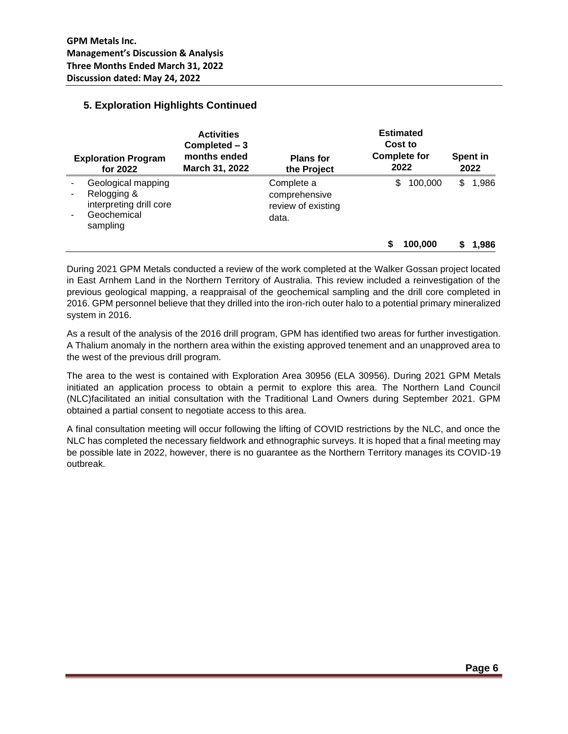## **5. Exploration Highlights Continued**

| <b>Exploration Program</b><br>for 2022 |                                                                                         | <b>Activities</b><br>Completed - 3<br>months ended<br>March 31, 2022 | <b>Plans for</b><br>the Project                            | <b>Estimated</b><br>Cost to<br><b>Complete for</b><br>2022 | Spent in<br>2022 |    |       |
|----------------------------------------|-----------------------------------------------------------------------------------------|----------------------------------------------------------------------|------------------------------------------------------------|------------------------------------------------------------|------------------|----|-------|
| -                                      | Geological mapping<br>Relogging &<br>interpreting drill core<br>Geochemical<br>sampling |                                                                      | Complete a<br>comprehensive<br>review of existing<br>data. | \$                                                         | 100,000          | \$ | 1,986 |
|                                        |                                                                                         |                                                                      |                                                            |                                                            | 100.000          |    | 1.986 |

During 2021 GPM Metals conducted a review of the work completed at the Walker Gossan project located in East Arnhem Land in the Northern Territory of Australia. This review included a reinvestigation of the previous geological mapping, a reappraisal of the geochemical sampling and the drill core completed in 2016. GPM personnel believe that they drilled into the iron-rich outer halo to a potential primary mineralized system in 2016.

As a result of the analysis of the 2016 drill program, GPM has identified two areas for further investigation. A Thalium anomaly in the northern area within the existing approved tenement and an unapproved area to the west of the previous drill program.

The area to the west is contained with Exploration Area 30956 (ELA 30956). During 2021 GPM Metals initiated an application process to obtain a permit to explore this area. The Northern Land Council (NLC)facilitated an initial consultation with the Traditional Land Owners during September 2021. GPM obtained a partial consent to negotiate access to this area.

A final consultation meeting will occur following the lifting of COVID restrictions by the NLC, and once the NLC has completed the necessary fieldwork and ethnographic surveys. It is hoped that a final meeting may be possible late in 2022, however, there is no guarantee as the Northern Territory manages its COVID-19 outbreak.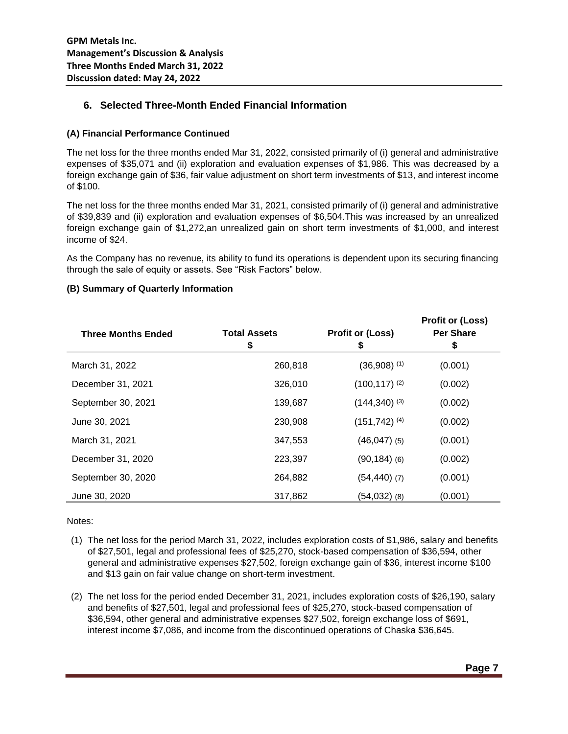## **6. Selected Three-Month Ended Financial Information**

## **(A) Financial Performance Continued**

The net loss for the three months ended Mar 31, 2022, consisted primarily of (i) general and administrative expenses of \$35,071 and (ii) exploration and evaluation expenses of \$1,986. This was decreased by a foreign exchange gain of \$36, fair value adjustment on short term investments of \$13, and interest income of \$100.

The net loss for the three months ended Mar 31, 2021, consisted primarily of (i) general and administrative of \$39,839 and (ii) exploration and evaluation expenses of \$6,504.This was increased by an unrealized foreign exchange gain of \$1,272,an unrealized gain on short term investments of \$1,000, and interest income of \$24.

As the Company has no revenue, its ability to fund its operations is dependent upon its securing financing through the sale of equity or assets. See "Risk Factors" below.

#### **(B) Summary of Quarterly Information**

| <b>Three Months Ended</b> | <b>Total Assets</b><br>\$ | <b>Profit or (Loss)</b><br>\$ | <b>Profit or (Loss)</b><br><b>Per Share</b><br>\$ |
|---------------------------|---------------------------|-------------------------------|---------------------------------------------------|
| March 31, 2022            | 260,818                   | $(36,908)$ <sup>(1)</sup>     | (0.001)                                           |
| December 31, 2021         | 326,010                   | $(100, 117)$ <sup>(2)</sup>   | (0.002)                                           |
| September 30, 2021        | 139,687                   | $(144,340)^{(3)}$             | (0.002)                                           |
| June 30, 2021             | 230,908                   | $(151, 742)$ <sup>(4)</sup>   | (0.002)                                           |
| March 31, 2021            | 347,553                   | $(46,047)$ (5)                | (0.001)                                           |
| December 31, 2020         | 223,397                   | $(90, 184)$ (6)               | (0.002)                                           |
| September 30, 2020        | 264,882                   | $(54, 440)$ (7)               | (0.001)                                           |
| June 30, 2020             | 317,862                   | $(54,032)$ (8)                | (0.001)                                           |

Notes:

- (1) The net loss for the period March 31, 2022, includes exploration costs of \$1,986, salary and benefits of \$27,501, legal and professional fees of \$25,270, stock-based compensation of \$36,594, other general and administrative expenses \$27,502, foreign exchange gain of \$36, interest income \$100 and \$13 gain on fair value change on short-term investment.
- (2) The net loss for the period ended December 31, 2021, includes exploration costs of \$26,190, salary and benefits of \$27,501, legal and professional fees of \$25,270, stock-based compensation of \$36,594, other general and administrative expenses \$27,502, foreign exchange loss of \$691, interest income \$7,086, and income from the discontinued operations of Chaska \$36,645.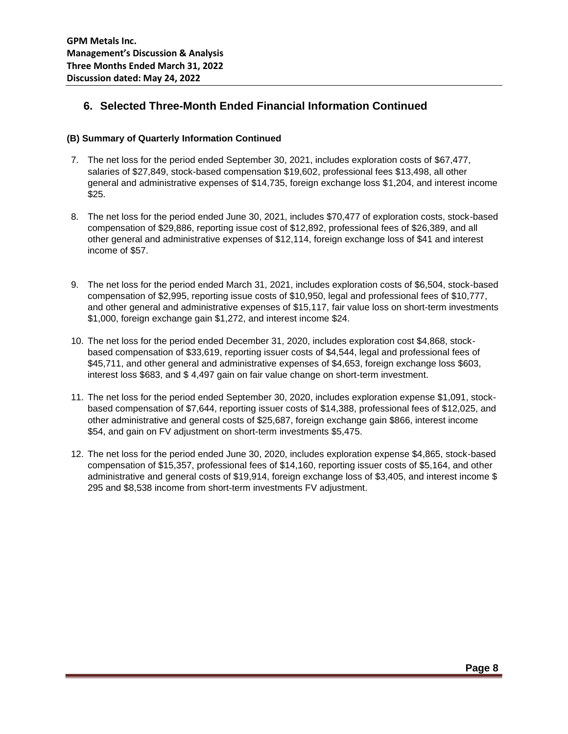# **6. Selected Three-Month Ended Financial Information Continued**

#### **(B) Summary of Quarterly Information Continued**

- 7. The net loss for the period ended September 30, 2021, includes exploration costs of \$67,477, salaries of \$27,849, stock-based compensation \$19,602, professional fees \$13,498, all other general and administrative expenses of \$14,735, foreign exchange loss \$1,204, and interest income \$25.
- 8. The net loss for the period ended June 30, 2021, includes \$70,477 of exploration costs, stock-based compensation of \$29,886, reporting issue cost of \$12,892, professional fees of \$26,389, and all other general and administrative expenses of \$12,114, foreign exchange loss of \$41 and interest income of \$57.
- 9. The net loss for the period ended March 31, 2021, includes exploration costs of \$6,504, stock-based compensation of \$2,995, reporting issue costs of \$10,950, legal and professional fees of \$10,777, and other general and administrative expenses of \$15,117, fair value loss on short-term investments \$1,000, foreign exchange gain \$1,272, and interest income \$24.
- 10. The net loss for the period ended December 31, 2020, includes exploration cost \$4,868, stockbased compensation of \$33,619, reporting issuer costs of \$4,544, legal and professional fees of \$45,711, and other general and administrative expenses of \$4,653, foreign exchange loss \$603, interest loss \$683, and \$ 4,497 gain on fair value change on short-term investment.
- 11. The net loss for the period ended September 30, 2020, includes exploration expense \$1,091, stockbased compensation of \$7,644, reporting issuer costs of \$14,388, professional fees of \$12,025, and other administrative and general costs of \$25,687, foreign exchange gain \$866, interest income \$54, and gain on FV adjustment on short-term investments \$5,475.
- 12. The net loss for the period ended June 30, 2020, includes exploration expense \$4,865, stock-based compensation of \$15,357, professional fees of \$14,160, reporting issuer costs of \$5,164, and other administrative and general costs of \$19,914, foreign exchange loss of \$3,405, and interest income \$ 295 and \$8,538 income from short-term investments FV adjustment.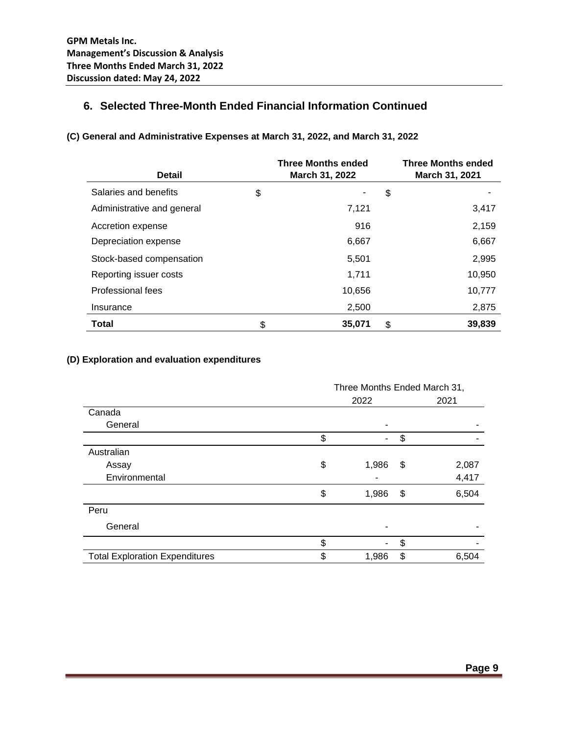# **6. Selected Three-Month Ended Financial Information Continued**

| <b>Detail</b>              | <b>Three Months ended</b><br>March 31, 2022 | <b>Three Months ended</b><br>March 31, 2021 |
|----------------------------|---------------------------------------------|---------------------------------------------|
| Salaries and benefits      | \$                                          | \$                                          |
| Administrative and general | 7,121                                       | 3,417                                       |
| Accretion expense          | 916                                         | 2,159                                       |
| Depreciation expense       | 6,667                                       | 6,667                                       |
| Stock-based compensation   | 5,501                                       | 2,995                                       |
| Reporting issuer costs     | 1,711                                       | 10,950                                      |
| Professional fees          | 10,656                                      | 10,777                                      |
| Insurance                  | 2,500                                       | 2,875                                       |
| Total                      | \$<br>35,071                                | \$<br>39,839                                |

## **(C) General and Administrative Expenses at March 31, 2022, and March 31, 2022**

#### **(D) Exploration and evaluation expenditures**

|                                       | Three Months Ended March 31, |    |       |
|---------------------------------------|------------------------------|----|-------|
|                                       | 2022                         |    | 2021  |
| Canada                                |                              |    |       |
| General                               | ۰                            |    |       |
|                                       | \$                           | \$ |       |
| Australian                            |                              |    |       |
| Assay                                 | \$<br>1,986                  | \$ | 2,087 |
| Environmental                         |                              |    | 4,417 |
|                                       | \$<br>1,986                  | \$ | 6,504 |
| Peru                                  |                              |    |       |
| General                               |                              |    |       |
|                                       | \$<br>$\blacksquare$         | \$ |       |
| <b>Total Exploration Expenditures</b> | \$<br>1,986                  | \$ | 6,504 |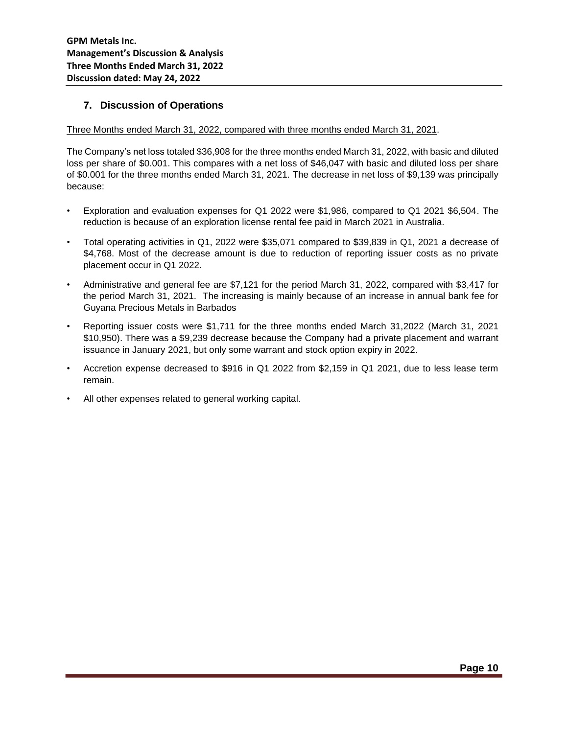## **7. Discussion of Operations**

#### Three Months ended March 31, 2022, compared with three months ended March 31, 2021.

The Company's net loss totaled \$36,908 for the three months ended March 31, 2022, with basic and diluted loss per share of \$0.001. This compares with a net loss of \$46,047 with basic and diluted loss per share of \$0.001 for the three months ended March 31, 2021. The decrease in net loss of \$9,139 was principally because:

- Exploration and evaluation expenses for Q1 2022 were \$1,986, compared to Q1 2021 \$6,504. The reduction is because of an exploration license rental fee paid in March 2021 in Australia.
- Total operating activities in Q1, 2022 were \$35,071 compared to \$39,839 in Q1, 2021 a decrease of \$4,768. Most of the decrease amount is due to reduction of reporting issuer costs as no private placement occur in Q1 2022.
- Administrative and general fee are \$7,121 for the period March 31, 2022, compared with \$3,417 for the period March 31, 2021. The increasing is mainly because of an increase in annual bank fee for Guyana Precious Metals in Barbados
- Reporting issuer costs were \$1,711 for the three months ended March 31,2022 (March 31, 2021 \$10,950). There was a \$9,239 decrease because the Company had a private placement and warrant issuance in January 2021, but only some warrant and stock option expiry in 2022.
- Accretion expense decreased to \$916 in Q1 2022 from \$2,159 in Q1 2021, due to less lease term remain.
- All other expenses related to general working capital.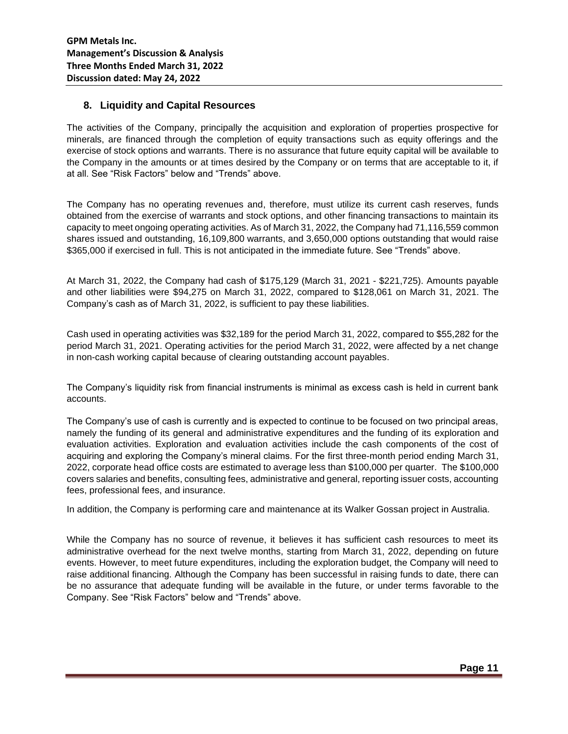## **8. Liquidity and Capital Resources**

The activities of the Company, principally the acquisition and exploration of properties prospective for minerals, are financed through the completion of equity transactions such as equity offerings and the exercise of stock options and warrants. There is no assurance that future equity capital will be available to the Company in the amounts or at times desired by the Company or on terms that are acceptable to it, if at all. See "Risk Factors" below and "Trends" above.

The Company has no operating revenues and, therefore, must utilize its current cash reserves, funds obtained from the exercise of warrants and stock options, and other financing transactions to maintain its capacity to meet ongoing operating activities. As of March 31, 2022, the Company had 71,116,559 common shares issued and outstanding, 16,109,800 warrants, and 3,650,000 options outstanding that would raise \$365,000 if exercised in full. This is not anticipated in the immediate future. See "Trends" above.

At March 31, 2022, the Company had cash of \$175,129 (March 31, 2021 - \$221,725). Amounts payable and other liabilities were \$94,275 on March 31, 2022, compared to \$128,061 on March 31, 2021. The Company's cash as of March 31, 2022, is sufficient to pay these liabilities.

Cash used in operating activities was \$32,189 for the period March 31, 2022, compared to \$55,282 for the period March 31, 2021. Operating activities for the period March 31, 2022, were affected by a net change in non-cash working capital because of clearing outstanding account payables.

The Company's liquidity risk from financial instruments is minimal as excess cash is held in current bank accounts.

The Company's use of cash is currently and is expected to continue to be focused on two principal areas, namely the funding of its general and administrative expenditures and the funding of its exploration and evaluation activities. Exploration and evaluation activities include the cash components of the cost of acquiring and exploring the Company's mineral claims. For the first three-month period ending March 31, 2022, corporate head office costs are estimated to average less than \$100,000 per quarter. The \$100,000 covers salaries and benefits, consulting fees, administrative and general, reporting issuer costs, accounting fees, professional fees, and insurance.

In addition, the Company is performing care and maintenance at its Walker Gossan project in Australia.

While the Company has no source of revenue, it believes it has sufficient cash resources to meet its administrative overhead for the next twelve months, starting from March 31, 2022, depending on future events. However, to meet future expenditures, including the exploration budget, the Company will need to raise additional financing. Although the Company has been successful in raising funds to date, there can be no assurance that adequate funding will be available in the future, or under terms favorable to the Company. See "Risk Factors" below and "Trends" above.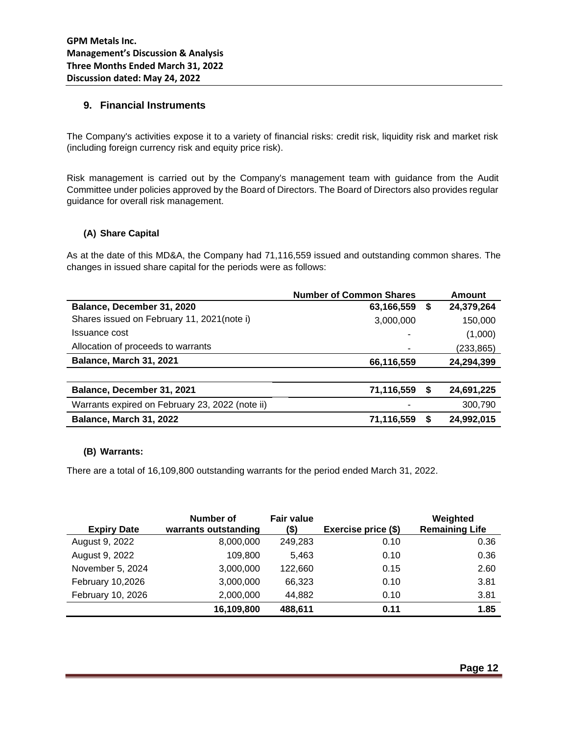## **9. Financial Instruments**

The Company's activities expose it to a variety of financial risks: credit risk, liquidity risk and market risk (including foreign currency risk and equity price risk).

Risk management is carried out by the Company's management team with guidance from the Audit Committee under policies approved by the Board of Directors. The Board of Directors also provides regular guidance for overall risk management.

#### **(A) Share Capital**

As at the date of this MD&A, the Company had 71,116,559 issued and outstanding common shares. The changes in issued share capital for the periods were as follows:

|                                                 | <b>Number of Common Shares</b> |    | Amount     |
|-------------------------------------------------|--------------------------------|----|------------|
| Balance, December 31, 2020                      | 63,166,559                     | \$ | 24,379,264 |
| Shares issued on February 11, 2021(note i)      | 3,000,000                      |    | 150,000    |
| Issuance cost                                   |                                |    | (1,000)    |
| Allocation of proceeds to warrants              |                                |    | (233, 865) |
| Balance, March 31, 2021                         | 66,116,559                     |    | 24,294,399 |
|                                                 |                                |    |            |
| Balance, December 31, 2021                      | 71,116,559                     | \$ | 24,691,225 |
| Warrants expired on February 23, 2022 (note ii) |                                |    | 300,790    |
| Balance, March 31, 2022                         | 71,116,559                     | S  | 24,992,015 |

#### **(B) Warrants:**

There are a total of 16,109,800 outstanding warrants for the period ended March 31, 2022.

| <b>Expiry Date</b> | Number of<br>warrants outstanding | <b>Fair value</b><br>(\$) | Exercise price (\$) | Weighted<br><b>Remaining Life</b> |
|--------------------|-----------------------------------|---------------------------|---------------------|-----------------------------------|
| August 9, 2022     | 8,000,000                         | 249,283                   | 0.10                | 0.36                              |
| August 9, 2022     | 109,800                           | 5.463                     | 0.10                | 0.36                              |
| November 5, 2024   | 3,000,000                         | 122,660                   | 0.15                | 2.60                              |
| February 10,2026   | 3,000,000                         | 66,323                    | 0.10                | 3.81                              |
| February 10, 2026  | 2,000,000                         | 44,882                    | 0.10                | 3.81                              |
|                    | 16,109,800                        | 488,611                   | 0.11                | 1.85                              |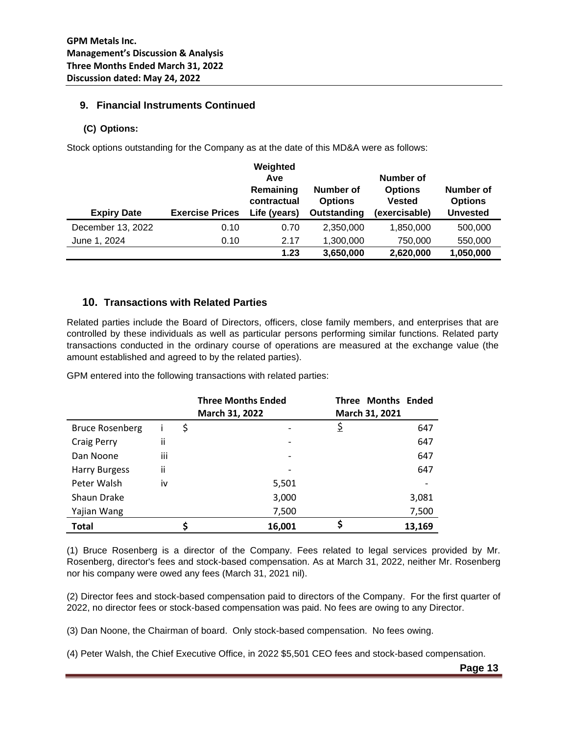## **9. Financial Instruments Continued**

## **(C) Options:**

Stock options outstanding for the Company as at the date of this MD&A were as follows:

| <b>Expiry Date</b> | <b>Exercise Prices</b> | Weighted<br>Ave<br>Remaining<br>contractual<br>Life (years) | Number of<br>Number of<br><b>Options</b><br><b>Vested</b><br><b>Options</b><br>Outstanding<br>(exercisable) |           | Number of<br><b>Options</b><br><b>Unvested</b> |
|--------------------|------------------------|-------------------------------------------------------------|-------------------------------------------------------------------------------------------------------------|-----------|------------------------------------------------|
| December 13, 2022  | 0.10                   | 0.70                                                        | 2,350,000                                                                                                   | 1,850,000 | 500,000                                        |
| June 1, 2024       | 0.10                   | 2.17                                                        | 1,300,000                                                                                                   | 750,000   | 550,000                                        |
|                    |                        | 1.23                                                        | 3,650,000                                                                                                   | 2,620,000 | 1,050,000                                      |

## **10. Transactions with Related Parties**

Related parties include the Board of Directors, officers, close family members, and enterprises that are controlled by these individuals as well as particular persons performing similar functions. Related party transactions conducted in the ordinary course of operations are measured at the exchange value (the amount established and agreed to by the related parties).

|                        |     |       | <b>Three Months Ended</b> | <b>Three Months Ended</b> |
|------------------------|-----|-------|---------------------------|---------------------------|
|                        |     |       | March 31, 2022            | March 31, 2021            |
| <b>Bruce Rosenberg</b> |     | \$    |                           | \$<br>647                 |
| <b>Craig Perry</b>     | ii  |       |                           | 647                       |
| Dan Noone              | iii |       |                           | 647                       |
| <b>Harry Burgess</b>   | ij  |       |                           | 647                       |
| Peter Walsh            | iv  |       | 5,501                     |                           |
| Shaun Drake            |     |       | 3,000                     | 3,081                     |
| Yajian Wang            |     | 7,500 | 7,500                     |                           |
| <b>Total</b>           |     |       | 16,001                    | \$<br>13,169              |

GPM entered into the following transactions with related parties:

(1) Bruce Rosenberg is a director of the Company. Fees related to legal services provided by Mr. Rosenberg, director's fees and stock-based compensation. As at March 31, 2022, neither Mr. Rosenberg nor his company were owed any fees (March 31, 2021 nil).

(2) Director fees and stock-based compensation paid to directors of the Company. For the first quarter of 2022, no director fees or stock-based compensation was paid. No fees are owing to any Director.

(3) Dan Noone, the Chairman of board. Only stock-based compensation. No fees owing.

(4) Peter Walsh, the Chief Executive Office, in 2022 \$5,501 CEO fees and stock-based compensation.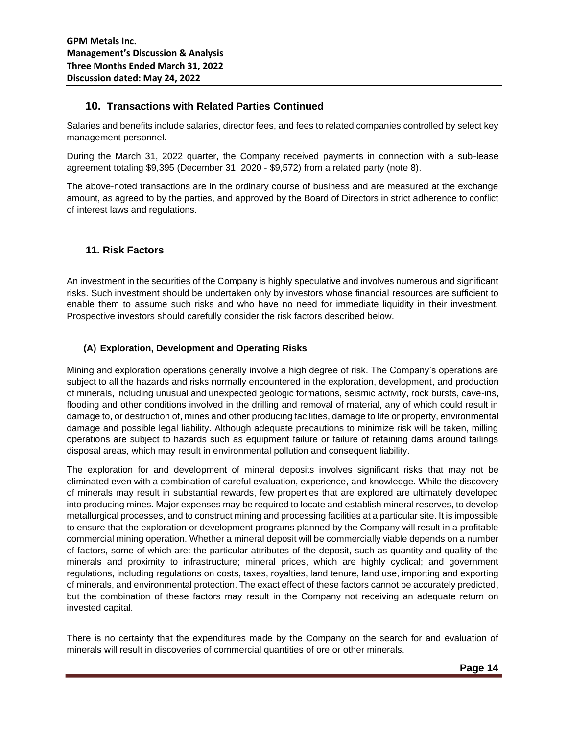## **10. Transactions with Related Parties Continued**

Salaries and benefits include salaries, director fees, and fees to related companies controlled by select key management personnel.

During the March 31, 2022 quarter, the Company received payments in connection with a sub-lease agreement totaling \$9,395 (December 31, 2020 - \$9,572) from a related party (note 8).

The above-noted transactions are in the ordinary course of business and are measured at the exchange amount, as agreed to by the parties, and approved by the Board of Directors in strict adherence to conflict of interest laws and regulations.

## **11. Risk Factors**

An investment in the securities of the Company is highly speculative and involves numerous and significant risks. Such investment should be undertaken only by investors whose financial resources are sufficient to enable them to assume such risks and who have no need for immediate liquidity in their investment. Prospective investors should carefully consider the risk factors described below.

## **(A) Exploration, Development and Operating Risks**

Mining and exploration operations generally involve a high degree of risk. The Company's operations are subject to all the hazards and risks normally encountered in the exploration, development, and production of minerals, including unusual and unexpected geologic formations, seismic activity, rock bursts, cave-ins, flooding and other conditions involved in the drilling and removal of material, any of which could result in damage to, or destruction of, mines and other producing facilities, damage to life or property, environmental damage and possible legal liability. Although adequate precautions to minimize risk will be taken, milling operations are subject to hazards such as equipment failure or failure of retaining dams around tailings disposal areas, which may result in environmental pollution and consequent liability.

The exploration for and development of mineral deposits involves significant risks that may not be eliminated even with a combination of careful evaluation, experience, and knowledge. While the discovery of minerals may result in substantial rewards, few properties that are explored are ultimately developed into producing mines. Major expenses may be required to locate and establish mineral reserves, to develop metallurgical processes, and to construct mining and processing facilities at a particular site. It is impossible to ensure that the exploration or development programs planned by the Company will result in a profitable commercial mining operation. Whether a mineral deposit will be commercially viable depends on a number of factors, some of which are: the particular attributes of the deposit, such as quantity and quality of the minerals and proximity to infrastructure; mineral prices, which are highly cyclical; and government regulations, including regulations on costs, taxes, royalties, land tenure, land use, importing and exporting of minerals, and environmental protection. The exact effect of these factors cannot be accurately predicted, but the combination of these factors may result in the Company not receiving an adequate return on invested capital.

There is no certainty that the expenditures made by the Company on the search for and evaluation of minerals will result in discoveries of commercial quantities of ore or other minerals.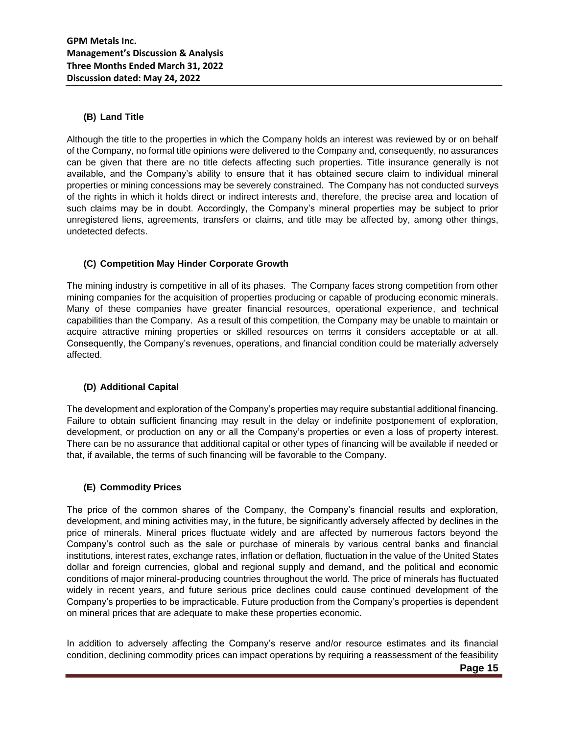## **(B) Land Title**

Although the title to the properties in which the Company holds an interest was reviewed by or on behalf of the Company, no formal title opinions were delivered to the Company and, consequently, no assurances can be given that there are no title defects affecting such properties. Title insurance generally is not available, and the Company's ability to ensure that it has obtained secure claim to individual mineral properties or mining concessions may be severely constrained. The Company has not conducted surveys of the rights in which it holds direct or indirect interests and, therefore, the precise area and location of such claims may be in doubt. Accordingly, the Company's mineral properties may be subject to prior unregistered liens, agreements, transfers or claims, and title may be affected by, among other things, undetected defects.

## **(C) Competition May Hinder Corporate Growth**

The mining industry is competitive in all of its phases. The Company faces strong competition from other mining companies for the acquisition of properties producing or capable of producing economic minerals. Many of these companies have greater financial resources, operational experience, and technical capabilities than the Company. As a result of this competition, the Company may be unable to maintain or acquire attractive mining properties or skilled resources on terms it considers acceptable or at all. Consequently, the Company's revenues, operations, and financial condition could be materially adversely affected.

## **(D) Additional Capital**

The development and exploration of the Company's properties may require substantial additional financing. Failure to obtain sufficient financing may result in the delay or indefinite postponement of exploration, development, or production on any or all the Company's properties or even a loss of property interest. There can be no assurance that additional capital or other types of financing will be available if needed or that, if available, the terms of such financing will be favorable to the Company.

#### **(E) Commodity Prices**

The price of the common shares of the Company, the Company's financial results and exploration, development, and mining activities may, in the future, be significantly adversely affected by declines in the price of minerals. Mineral prices fluctuate widely and are affected by numerous factors beyond the Company's control such as the sale or purchase of minerals by various central banks and financial institutions, interest rates, exchange rates, inflation or deflation, fluctuation in the value of the United States dollar and foreign currencies, global and regional supply and demand, and the political and economic conditions of major mineral-producing countries throughout the world. The price of minerals has fluctuated widely in recent years, and future serious price declines could cause continued development of the Company's properties to be impracticable. Future production from the Company's properties is dependent on mineral prices that are adequate to make these properties economic.

In addition to adversely affecting the Company's reserve and/or resource estimates and its financial condition, declining commodity prices can impact operations by requiring a reassessment of the feasibility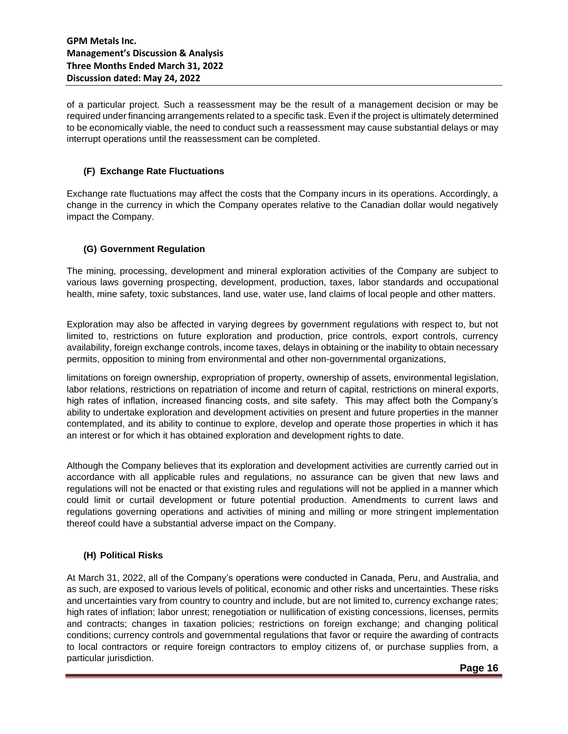of a particular project. Such a reassessment may be the result of a management decision or may be required under financing arrangements related to a specific task. Even if the project is ultimately determined to be economically viable, the need to conduct such a reassessment may cause substantial delays or may interrupt operations until the reassessment can be completed.

## **(F) Exchange Rate Fluctuations**

Exchange rate fluctuations may affect the costs that the Company incurs in its operations. Accordingly, a change in the currency in which the Company operates relative to the Canadian dollar would negatively impact the Company.

## **(G) Government Regulation**

The mining, processing, development and mineral exploration activities of the Company are subject to various laws governing prospecting, development, production, taxes, labor standards and occupational health, mine safety, toxic substances, land use, water use, land claims of local people and other matters.

Exploration may also be affected in varying degrees by government regulations with respect to, but not limited to, restrictions on future exploration and production, price controls, export controls, currency availability, foreign exchange controls, income taxes, delays in obtaining or the inability to obtain necessary permits, opposition to mining from environmental and other non-governmental organizations,

limitations on foreign ownership, expropriation of property, ownership of assets, environmental legislation, labor relations, restrictions on repatriation of income and return of capital, restrictions on mineral exports, high rates of inflation, increased financing costs, and site safety. This may affect both the Company's ability to undertake exploration and development activities on present and future properties in the manner contemplated, and its ability to continue to explore, develop and operate those properties in which it has an interest or for which it has obtained exploration and development rights to date.

Although the Company believes that its exploration and development activities are currently carried out in accordance with all applicable rules and regulations, no assurance can be given that new laws and regulations will not be enacted or that existing rules and regulations will not be applied in a manner which could limit or curtail development or future potential production. Amendments to current laws and regulations governing operations and activities of mining and milling or more stringent implementation thereof could have a substantial adverse impact on the Company.

#### **(H) Political Risks**

At March 31, 2022, all of the Company's operations were conducted in Canada, Peru, and Australia, and as such, are exposed to various levels of political, economic and other risks and uncertainties. These risks and uncertainties vary from country to country and include, but are not limited to, currency exchange rates; high rates of inflation; labor unrest; renegotiation or nullification of existing concessions, licenses, permits and contracts; changes in taxation policies; restrictions on foreign exchange; and changing political conditions; currency controls and governmental regulations that favor or require the awarding of contracts to local contractors or require foreign contractors to employ citizens of, or purchase supplies from, a particular jurisdiction.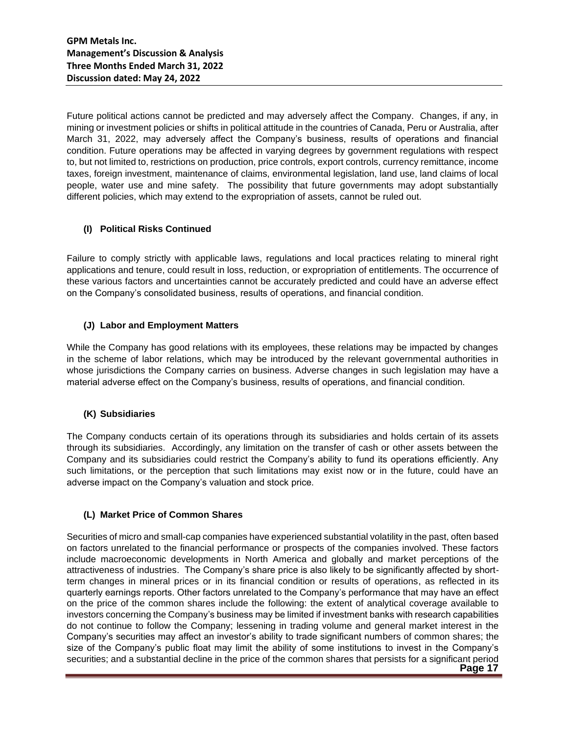Future political actions cannot be predicted and may adversely affect the Company. Changes, if any, in mining or investment policies or shifts in political attitude in the countries of Canada, Peru or Australia, after March 31, 2022, may adversely affect the Company's business, results of operations and financial condition. Future operations may be affected in varying degrees by government regulations with respect to, but not limited to, restrictions on production, price controls, export controls, currency remittance, income taxes, foreign investment, maintenance of claims, environmental legislation, land use, land claims of local people, water use and mine safety. The possibility that future governments may adopt substantially different policies, which may extend to the expropriation of assets, cannot be ruled out.

## **(I) Political Risks Continued**

Failure to comply strictly with applicable laws, regulations and local practices relating to mineral right applications and tenure, could result in loss, reduction, or expropriation of entitlements. The occurrence of these various factors and uncertainties cannot be accurately predicted and could have an adverse effect on the Company's consolidated business, results of operations, and financial condition.

#### **(J) Labor and Employment Matters**

While the Company has good relations with its employees, these relations may be impacted by changes in the scheme of labor relations, which may be introduced by the relevant governmental authorities in whose jurisdictions the Company carries on business. Adverse changes in such legislation may have a material adverse effect on the Company's business, results of operations, and financial condition.

## **(K) Subsidiaries**

The Company conducts certain of its operations through its subsidiaries and holds certain of its assets through its subsidiaries. Accordingly, any limitation on the transfer of cash or other assets between the Company and its subsidiaries could restrict the Company's ability to fund its operations efficiently. Any such limitations, or the perception that such limitations may exist now or in the future, could have an adverse impact on the Company's valuation and stock price.

#### **(L) Market Price of Common Shares**

**Page 17** Securities of micro and small-cap companies have experienced substantial volatility in the past, often based on factors unrelated to the financial performance or prospects of the companies involved. These factors include macroeconomic developments in North America and globally and market perceptions of the attractiveness of industries. The Company's share price is also likely to be significantly affected by shortterm changes in mineral prices or in its financial condition or results of operations, as reflected in its quarterly earnings reports. Other factors unrelated to the Company's performance that may have an effect on the price of the common shares include the following: the extent of analytical coverage available to investors concerning the Company's business may be limited if investment banks with research capabilities do not continue to follow the Company; lessening in trading volume and general market interest in the Company's securities may affect an investor's ability to trade significant numbers of common shares; the size of the Company's public float may limit the ability of some institutions to invest in the Company's securities; and a substantial decline in the price of the common shares that persists for a significant period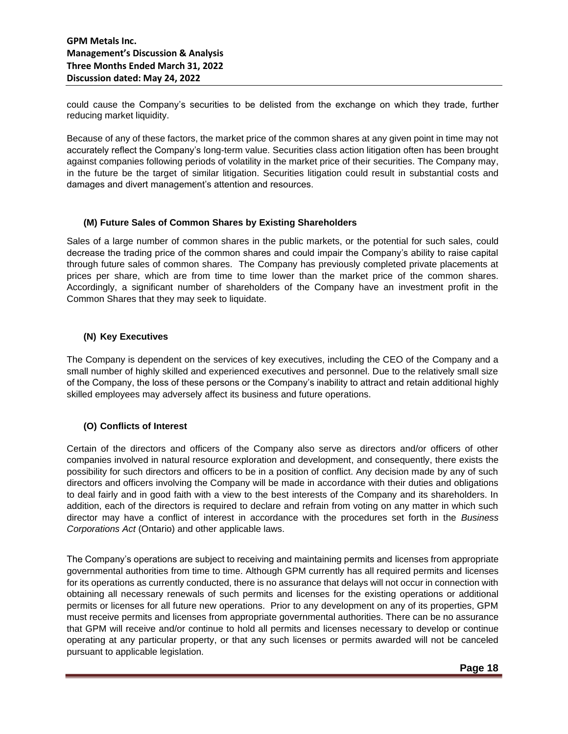could cause the Company's securities to be delisted from the exchange on which they trade, further reducing market liquidity.

Because of any of these factors, the market price of the common shares at any given point in time may not accurately reflect the Company's long-term value. Securities class action litigation often has been brought against companies following periods of volatility in the market price of their securities. The Company may, in the future be the target of similar litigation. Securities litigation could result in substantial costs and damages and divert management's attention and resources.

#### **(M) Future Sales of Common Shares by Existing Shareholders**

Sales of a large number of common shares in the public markets, or the potential for such sales, could decrease the trading price of the common shares and could impair the Company's ability to raise capital through future sales of common shares. The Company has previously completed private placements at prices per share, which are from time to time lower than the market price of the common shares. Accordingly, a significant number of shareholders of the Company have an investment profit in the Common Shares that they may seek to liquidate.

#### **(N) Key Executives**

The Company is dependent on the services of key executives, including the CEO of the Company and a small number of highly skilled and experienced executives and personnel. Due to the relatively small size of the Company, the loss of these persons or the Company's inability to attract and retain additional highly skilled employees may adversely affect its business and future operations.

## **(O) Conflicts of Interest**

Certain of the directors and officers of the Company also serve as directors and/or officers of other companies involved in natural resource exploration and development, and consequently, there exists the possibility for such directors and officers to be in a position of conflict. Any decision made by any of such directors and officers involving the Company will be made in accordance with their duties and obligations to deal fairly and in good faith with a view to the best interests of the Company and its shareholders. In addition, each of the directors is required to declare and refrain from voting on any matter in which such director may have a conflict of interest in accordance with the procedures set forth in the *Business Corporations Act* (Ontario) and other applicable laws.

The Company's operations are subject to receiving and maintaining permits and licenses from appropriate governmental authorities from time to time. Although GPM currently has all required permits and licenses for its operations as currently conducted, there is no assurance that delays will not occur in connection with obtaining all necessary renewals of such permits and licenses for the existing operations or additional permits or licenses for all future new operations. Prior to any development on any of its properties, GPM must receive permits and licenses from appropriate governmental authorities. There can be no assurance that GPM will receive and/or continue to hold all permits and licenses necessary to develop or continue operating at any particular property, or that any such licenses or permits awarded will not be canceled pursuant to applicable legislation.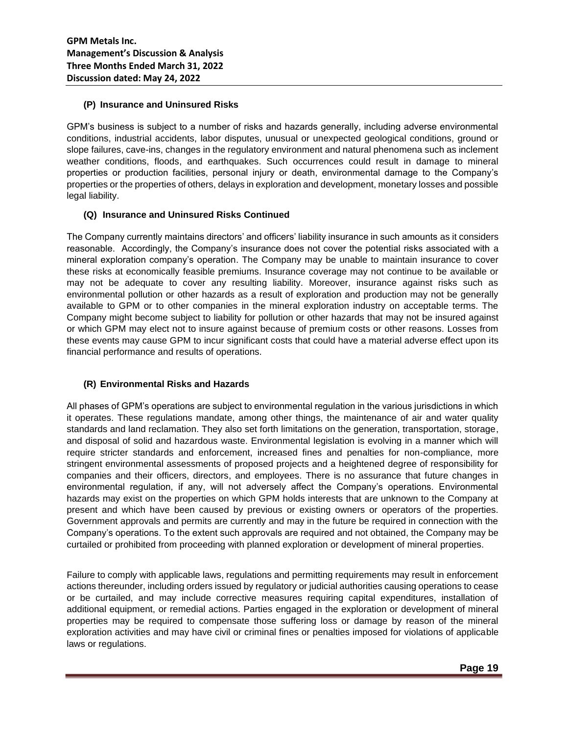## **(P) Insurance and Uninsured Risks**

GPM's business is subject to a number of risks and hazards generally, including adverse environmental conditions, industrial accidents, labor disputes, unusual or unexpected geological conditions, ground or slope failures, cave-ins, changes in the regulatory environment and natural phenomena such as inclement weather conditions, floods, and earthquakes. Such occurrences could result in damage to mineral properties or production facilities, personal injury or death, environmental damage to the Company's properties or the properties of others, delays in exploration and development, monetary losses and possible legal liability.

## **(Q) Insurance and Uninsured Risks Continued**

The Company currently maintains directors' and officers' liability insurance in such amounts as it considers reasonable. Accordingly, the Company's insurance does not cover the potential risks associated with a mineral exploration company's operation. The Company may be unable to maintain insurance to cover these risks at economically feasible premiums. Insurance coverage may not continue to be available or may not be adequate to cover any resulting liability. Moreover, insurance against risks such as environmental pollution or other hazards as a result of exploration and production may not be generally available to GPM or to other companies in the mineral exploration industry on acceptable terms. The Company might become subject to liability for pollution or other hazards that may not be insured against or which GPM may elect not to insure against because of premium costs or other reasons. Losses from these events may cause GPM to incur significant costs that could have a material adverse effect upon its financial performance and results of operations.

#### **(R) Environmental Risks and Hazards**

All phases of GPM's operations are subject to environmental regulation in the various jurisdictions in which it operates. These regulations mandate, among other things, the maintenance of air and water quality standards and land reclamation. They also set forth limitations on the generation, transportation, storage, and disposal of solid and hazardous waste. Environmental legislation is evolving in a manner which will require stricter standards and enforcement, increased fines and penalties for non-compliance, more stringent environmental assessments of proposed projects and a heightened degree of responsibility for companies and their officers, directors, and employees. There is no assurance that future changes in environmental regulation, if any, will not adversely affect the Company's operations. Environmental hazards may exist on the properties on which GPM holds interests that are unknown to the Company at present and which have been caused by previous or existing owners or operators of the properties. Government approvals and permits are currently and may in the future be required in connection with the Company's operations. To the extent such approvals are required and not obtained, the Company may be curtailed or prohibited from proceeding with planned exploration or development of mineral properties.

Failure to comply with applicable laws, regulations and permitting requirements may result in enforcement actions thereunder, including orders issued by regulatory or judicial authorities causing operations to cease or be curtailed, and may include corrective measures requiring capital expenditures, installation of additional equipment, or remedial actions. Parties engaged in the exploration or development of mineral properties may be required to compensate those suffering loss or damage by reason of the mineral exploration activities and may have civil or criminal fines or penalties imposed for violations of applicable laws or regulations.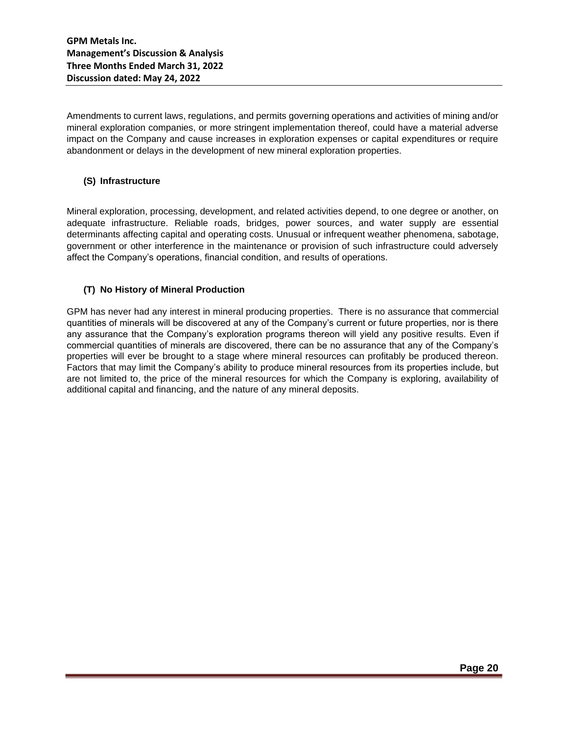Amendments to current laws, regulations, and permits governing operations and activities of mining and/or mineral exploration companies, or more stringent implementation thereof, could have a material adverse impact on the Company and cause increases in exploration expenses or capital expenditures or require abandonment or delays in the development of new mineral exploration properties.

#### **(S) Infrastructure**

Mineral exploration, processing, development, and related activities depend, to one degree or another, on adequate infrastructure. Reliable roads, bridges, power sources, and water supply are essential determinants affecting capital and operating costs. Unusual or infrequent weather phenomena, sabotage, government or other interference in the maintenance or provision of such infrastructure could adversely affect the Company's operations, financial condition, and results of operations.

## **(T) No History of Mineral Production**

GPM has never had any interest in mineral producing properties. There is no assurance that commercial quantities of minerals will be discovered at any of the Company's current or future properties, nor is there any assurance that the Company's exploration programs thereon will yield any positive results. Even if commercial quantities of minerals are discovered, there can be no assurance that any of the Company's properties will ever be brought to a stage where mineral resources can profitably be produced thereon. Factors that may limit the Company's ability to produce mineral resources from its properties include, but are not limited to, the price of the mineral resources for which the Company is exploring, availability of additional capital and financing, and the nature of any mineral deposits.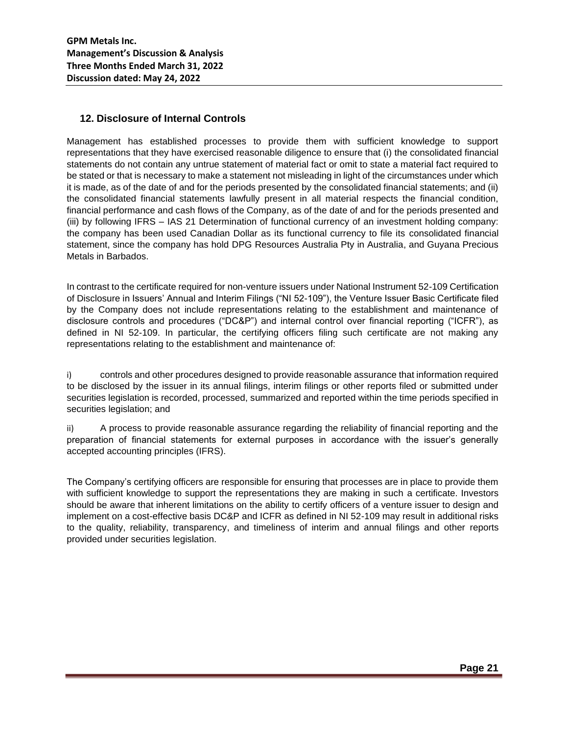## **12. Disclosure of Internal Controls**

Management has established processes to provide them with sufficient knowledge to support representations that they have exercised reasonable diligence to ensure that (i) the consolidated financial statements do not contain any untrue statement of material fact or omit to state a material fact required to be stated or that is necessary to make a statement not misleading in light of the circumstances under which it is made, as of the date of and for the periods presented by the consolidated financial statements; and (ii) the consolidated financial statements lawfully present in all material respects the financial condition, financial performance and cash flows of the Company, as of the date of and for the periods presented and (iii) by following IFRS – IAS 21 Determination of functional currency of an investment holding company: the company has been used Canadian Dollar as its functional currency to file its consolidated financial statement, since the company has hold DPG Resources Australia Pty in Australia, and Guyana Precious Metals in Barbados.

In contrast to the certificate required for non-venture issuers under National Instrument 52-109 Certification of Disclosure in Issuers' Annual and Interim Filings ("NI 52-109"), the Venture Issuer Basic Certificate filed by the Company does not include representations relating to the establishment and maintenance of disclosure controls and procedures ("DC&P") and internal control over financial reporting ("ICFR"), as defined in NI 52-109. In particular, the certifying officers filing such certificate are not making any representations relating to the establishment and maintenance of:

i) controls and other procedures designed to provide reasonable assurance that information required to be disclosed by the issuer in its annual filings, interim filings or other reports filed or submitted under securities legislation is recorded, processed, summarized and reported within the time periods specified in securities legislation; and

ii) A process to provide reasonable assurance regarding the reliability of financial reporting and the preparation of financial statements for external purposes in accordance with the issuer's generally accepted accounting principles (IFRS).

The Company's certifying officers are responsible for ensuring that processes are in place to provide them with sufficient knowledge to support the representations they are making in such a certificate. Investors should be aware that inherent limitations on the ability to certify officers of a venture issuer to design and implement on a cost-effective basis DC&P and ICFR as defined in NI 52-109 may result in additional risks to the quality, reliability, transparency, and timeliness of interim and annual filings and other reports provided under securities legislation.